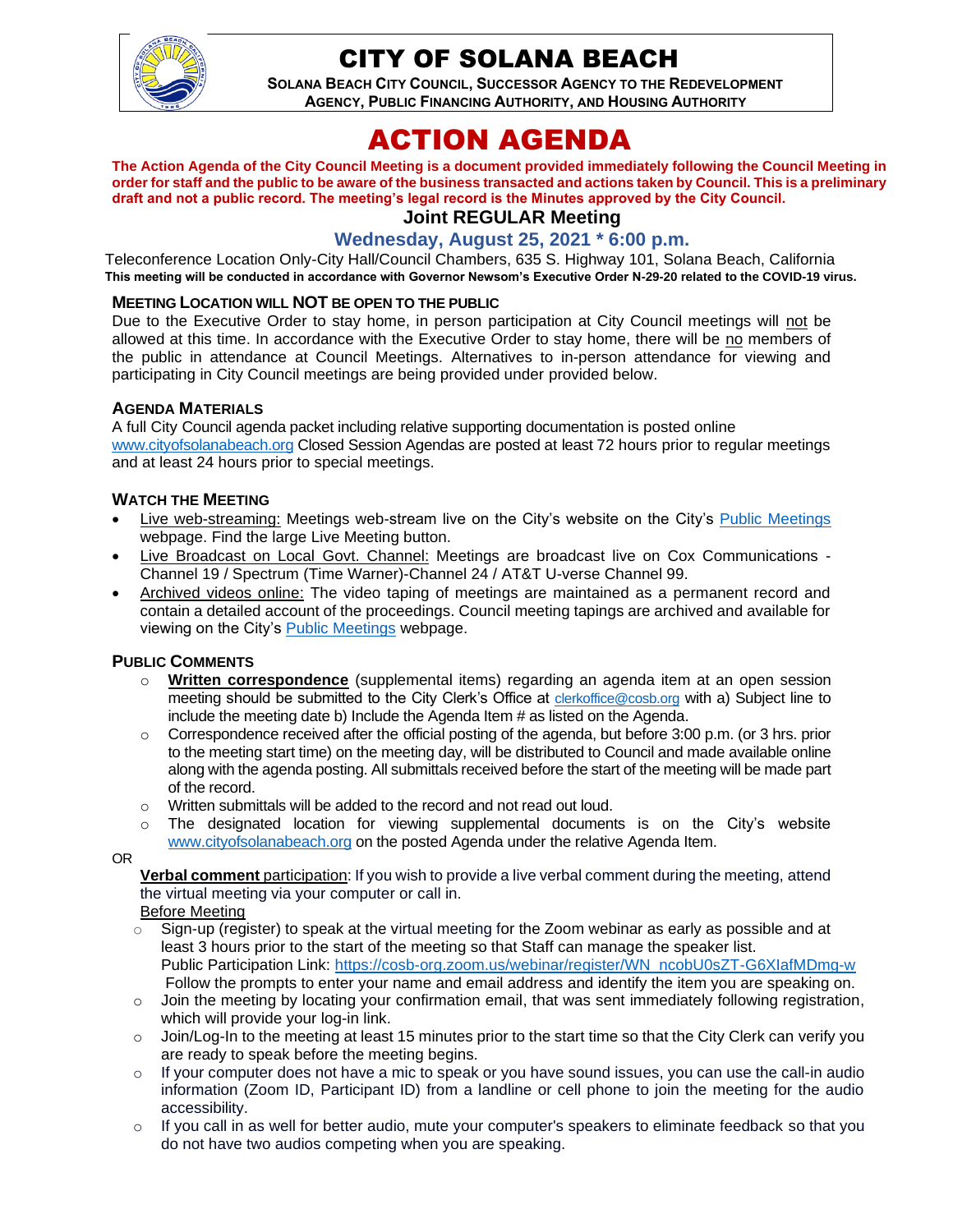

# CITY OF SOLANA BEACH

**SOLANA BEACH CITY COUNCIL, SUCCESSOR AGENCY TO THE REDEVELOPMENT AGENCY, PUBLIC FINANCING AUTHORITY, AND HOUSING AUTHORITY** 

# ACTION AGENDA

**The Action Agenda of the City Council Meeting is a document provided immediately following the Council Meeting in order for staff and the public to be aware of the business transacted and actions taken by Council. This is a preliminary draft and not a public record. The meeting's legal record is the Minutes approved by the City Council. Joint REGULAR Meeting**

# **Wednesday, August 25, 2021 \* 6:00 p.m.**

Teleconference Location Only-City Hall/Council Chambers, 635 S. Highway 101, Solana Beach, California **This meeting will be conducted in accordance with Governor Newsom's Executive Order N-29-20 related to the COVID-19 virus.**

#### **MEETING LOCATION WILL NOT BE OPEN TO THE PUBLIC**

Due to the Executive Order to stay home, in person participation at City Council meetings will not be allowed at this time. In accordance with the Executive Order to stay home, there will be no members of the public in attendance at Council Meetings. Alternatives to in-person attendance for viewing and participating in City Council meetings are being provided under provided below.

#### **AGENDA MATERIALS**

A full City Council agenda packet including relative supporting documentation is posted online [www.cityofsolanabeach.org](http://www.cityofsolanabeach.org/) Closed Session Agendas are posted at least 72 hours prior to regular meetings and at least 24 hours prior to special meetings.

#### **WATCH THE MEETING**

- Live web-streaming: Meetings web-stream live on the City's website on the City's [Public Meetings](https://urldefense.proofpoint.com/v2/url?u=https-3A__www.ci.solana-2Dbeach.ca.us_index.asp-3FSEC-3DF0F1200D-2D21C6-2D4A88-2D8AE1-2D0BC07C1A81A7-26Type-3DB-5FBASIC&d=DwMFAg&c=euGZstcaTDllvimEN8b7jXrwqOf-v5A_CdpgnVfiiMM&r=1XAsCUuqwK_tji2t0s1uIQ&m=wny2RVfZJ2tN24LkqZmkUWNpwL_peNtTZUBlTBZiMM4&s=WwpcEQpHHkFen6nS6q2waMuQ_VMZ-i1YZ60lD-dYRRE&e=) webpage. Find the large Live Meeting button.
- Live Broadcast on Local Govt. Channel: Meetings are broadcast live on Cox Communications Channel 19 / Spectrum (Time Warner)-Channel 24 / AT&T U-verse Channel 99.
- Archived videos online: The video taping of meetings are maintained as a permanent record and contain a detailed account of the proceedings. Council meeting tapings are archived and available for viewing on the City's [Public Meetings](https://urldefense.proofpoint.com/v2/url?u=https-3A__www.ci.solana-2Dbeach.ca.us_index.asp-3FSEC-3DF0F1200D-2D21C6-2D4A88-2D8AE1-2D0BC07C1A81A7-26Type-3DB-5FBASIC&d=DwMFAg&c=euGZstcaTDllvimEN8b7jXrwqOf-v5A_CdpgnVfiiMM&r=1XAsCUuqwK_tji2t0s1uIQ&m=wny2RVfZJ2tN24LkqZmkUWNpwL_peNtTZUBlTBZiMM4&s=WwpcEQpHHkFen6nS6q2waMuQ_VMZ-i1YZ60lD-dYRRE&e=) webpage.

#### **PUBLIC COMMENTS**

- o **Written correspondence** (supplemental items) regarding an agenda item at an open session meeting should be submitted to the City Clerk's Office at [clerkoffice@cosb.org](mailto:clerkoffice@cosb.org) with a) Subject line to include the meeting date b) Include the Agenda Item # as listed on the Agenda.
- $\circ$  Correspondence received after the official posting of the agenda, but before 3:00 p.m. (or 3 hrs. prior to the meeting start time) on the meeting day, will be distributed to Council and made available online along with the agenda posting. All submittals received before the start of the meeting will be made part of the record.
- o Written submittals will be added to the record and not read out loud.
- $\circ$  The designated location for viewing supplemental documents is on the City's website [www.cityofsolanabeach.org](http://www.cityofsolanabeach.org/) on the posted Agenda under the relative Agenda Item.

OR

**Verbal comment** participation: If you wish to provide a live verbal comment during the meeting, attend the virtual meeting via your computer or call in.

Before Meeting

- $\circ$  Sign-up (register) to speak at the virtual meeting for the Zoom webinar as early as possible and at least 3 hours prior to the start of the meeting so that Staff can manage the speaker list. Public Participation Link: [https://cosb-org.zoom.us/webinar/register/WN\\_ncobU0sZT-G6XIafMDmg-w](https://cosb-org.zoom.us/webinar/register/WN_ncobU0sZT-G6XIafMDmg-w) Follow the prompts to enter your name and email address and identify the item you are speaking on.
- $\circ$  Join the meeting by locating your confirmation email, that was sent immediately following registration, which will provide your log-in link.
- $\circ$  Join/Log-In to the meeting at least 15 minutes prior to the start time so that the City Clerk can verify you are ready to speak before the meeting begins.
- $\circ$  If your computer does not have a mic to speak or you have sound issues, you can use the call-in audio information (Zoom ID, Participant ID) from a landline or cell phone to join the meeting for the audio accessibility.
- $\circ$  If you call in as well for better audio, mute your computer's speakers to eliminate feedback so that you do not have two audios competing when you are speaking.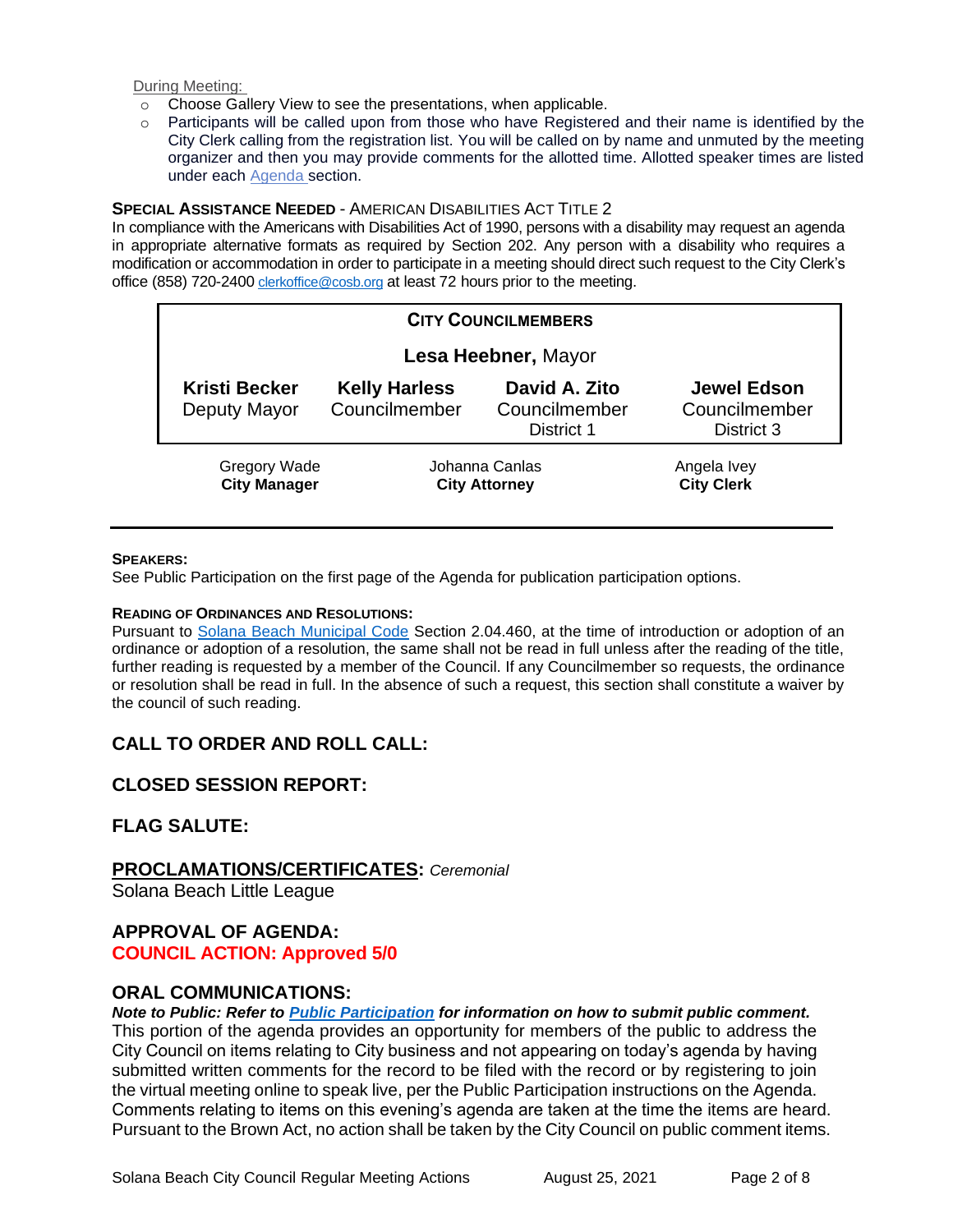During Meeting:

- o Choose Gallery View to see the presentations, when applicable.
- o Participants will be called upon from those who have Registered and their name is identified by the City Clerk calling from the registration list. You will be called on by name and unmuted by the meeting organizer and then you may provide comments for the allotted time. Allotted speaker times are listed under each [Agenda s](https://urldefense.proofpoint.com/v2/url?u=https-3A__www.ci.solana-2Dbeach.ca.us_index.asp-3FSEC-3DF0F1200D-2D21C6-2D4A88-2D8AE1-2D0BC07C1A81A7-26Type-3DB-5FBASIC&d=DwMFaQ&c=euGZstcaTDllvimEN8b7jXrwqOf-v5A_CdpgnVfiiMM&r=1XAsCUuqwK_tji2t0s1uIQ&m=C7WzXfOw2_nkEFMJClT55zZsF4tmIf_7KTn0o1WpYqI&s=3DcsWExM2_nx_xpvFtXslUjphiXd0MDCCF18y_Qy5yU&e=)ection.

#### **SPECIAL ASSISTANCE NEEDED** - AMERICAN DISABILITIES ACT TITLE 2

In compliance with the Americans with Disabilities Act of 1990, persons with a disability may request an agenda in appropriate alternative formats as required by Section 202. Any person with a disability who requires a modification or accommodation in order to participate in a meeting should direct such request to the City Clerk's office (858) 720-2400 [clerkoffice@cosb.org](mailto:EMAILGRP-CityClerksOfc@cosb.org) at least 72 hours prior to the meeting.

| <b>CITY COUNCILMEMBERS</b> |                                      |                                        |                                              |                                                   |
|----------------------------|--------------------------------------|----------------------------------------|----------------------------------------------|---------------------------------------------------|
| Lesa Heebner, Mayor        |                                      |                                        |                                              |                                                   |
|                            | <b>Kristi Becker</b><br>Deputy Mayor | <b>Kelly Harless</b><br>Councilmember  | David A. Zito<br>Councilmember<br>District 1 | <b>Jewel Edson</b><br>Councilmember<br>District 3 |
|                            | Gregory Wade<br><b>City Manager</b>  | Johanna Canlas<br><b>City Attorney</b> |                                              | Angela Ivey<br><b>City Clerk</b>                  |

#### **SPEAKERS:**

See Public Participation on the first page of the Agenda for publication participation options.

#### **READING OF ORDINANCES AND RESOLUTIONS:**

Pursuant to [Solana Beach Municipal Code](https://www.codepublishing.com/CA/SolanaBeach/) Section 2.04.460, at the time of introduction or adoption of an ordinance or adoption of a resolution, the same shall not be read in full unless after the reading of the title, further reading is requested by a member of the Council. If any Councilmember so requests, the ordinance or resolution shall be read in full. In the absence of such a request, this section shall constitute a waiver by the council of such reading.

# **CALL TO ORDER AND ROLL CALL:**

# **CLOSED SESSION REPORT:**

# **FLAG SALUTE:**

#### **PROCLAMATIONS/CERTIFICATES:** *Ceremonial*

Solana Beach Little League

# **APPROVAL OF AGENDA:**

# **COUNCIL ACTION: Approved 5/0**

# **ORAL COMMUNICATIONS:**

*Note to Public: Refer to Public Participation for information on how to submit public comment.*  This portion of the agenda provides an opportunity for members of the public to address the City Council on items relating to City business and not appearing on today's agenda by having submitted written comments for the record to be filed with the record or by registering to join the virtual meeting online to speak live, per the Public Participation instructions on the Agenda. Comments relating to items on this evening's agenda are taken at the time the items are heard. Pursuant to the Brown Act, no action shall be taken by the City Council on public comment items.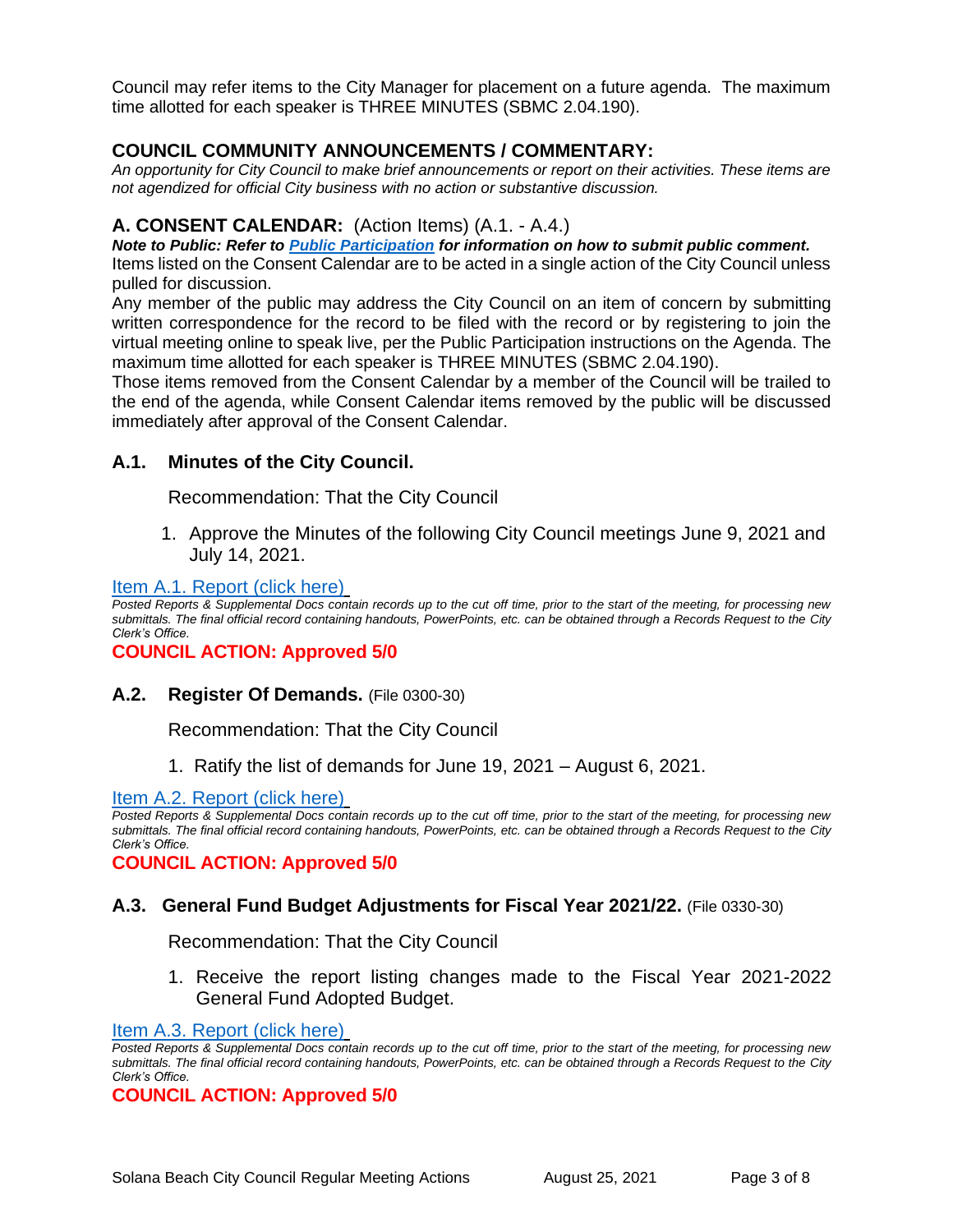Council may refer items to the City Manager for placement on a future agenda. The maximum time allotted for each speaker is THREE MINUTES (SBMC 2.04.190).

# **COUNCIL COMMUNITY ANNOUNCEMENTS / COMMENTARY:**

*An opportunity for City Council to make brief announcements or report on their activities. These items are not agendized for official City business with no action or substantive discussion.* 

## **A. CONSENT CALENDAR:** (Action Items) (A.1. - A.4.)

*Note to Public: Refer to Public Participation for information on how to submit public comment.* 

Items listed on the Consent Calendar are to be acted in a single action of the City Council unless pulled for discussion.

Any member of the public may address the City Council on an item of concern by submitting written correspondence for the record to be filed with the record or by registering to join the virtual meeting online to speak live, per the Public Participation instructions on the Agenda. The maximum time allotted for each speaker is THREE MINUTES (SBMC 2.04.190).

Those items removed from the Consent Calendar by a member of the Council will be trailed to the end of the agenda, while Consent Calendar items removed by the public will be discussed immediately after approval of the Consent Calendar.

# **A.1. Minutes of the City Council.**

Recommendation: That the City Council

1. Approve the Minutes of the following City Council meetings June 9, 2021 and July 14, 2021.

#### [Item A.1. Report \(click here\)](https://solanabeach.govoffice3.com/vertical/Sites/%7B840804C2-F869-4904-9AE3-720581350CE7%7D/uploads/Item_A.1._Report_(click_here)_08-25-21_O.pdf)

*Posted Reports & Supplemental Docs contain records up to the cut off time, prior to the start of the meeting, for processing new submittals. The final official record containing handouts, PowerPoints, etc. can be obtained through a Records Request to the City Clerk's Office.*

**COUNCIL ACTION: Approved 5/0**

**A.2. Register Of Demands.** (File 0300-30)

Recommendation: That the City Council

1. Ratify the list of demands for June 19, 2021 – August 6, 2021.

[Item A.2. Report \(click here\)](https://solanabeach.govoffice3.com/vertical/Sites/%7B840804C2-F869-4904-9AE3-720581350CE7%7D/uploads/Item_A.2._Report_(click_here)_08-25-21_O.pdf)

*Posted Reports & Supplemental Docs contain records up to the cut off time, prior to the start of the meeting, for processing new submittals. The final official record containing handouts, PowerPoints, etc. can be obtained through a Records Request to the City Clerk's Office.*

**COUNCIL ACTION: Approved 5/0**

#### **A.3. General Fund Budget Adjustments for Fiscal Year 2021/22.** (File 0330-30)

Recommendation: That the City Council

1. Receive the report listing changes made to the Fiscal Year 2021-2022 General Fund Adopted Budget.

#### [Item A.3. Report \(click here\)](https://solanabeach.govoffice3.com/vertical/Sites/%7B840804C2-F869-4904-9AE3-720581350CE7%7D/uploads/Item_A.3._Report_(click_here)_08-25-21_O.pdf)

*Posted Reports & Supplemental Docs contain records up to the cut off time, prior to the start of the meeting, for processing new submittals. The final official record containing handouts, PowerPoints, etc. can be obtained through a Records Request to the City Clerk's Office.*

**COUNCIL ACTION: Approved 5/0**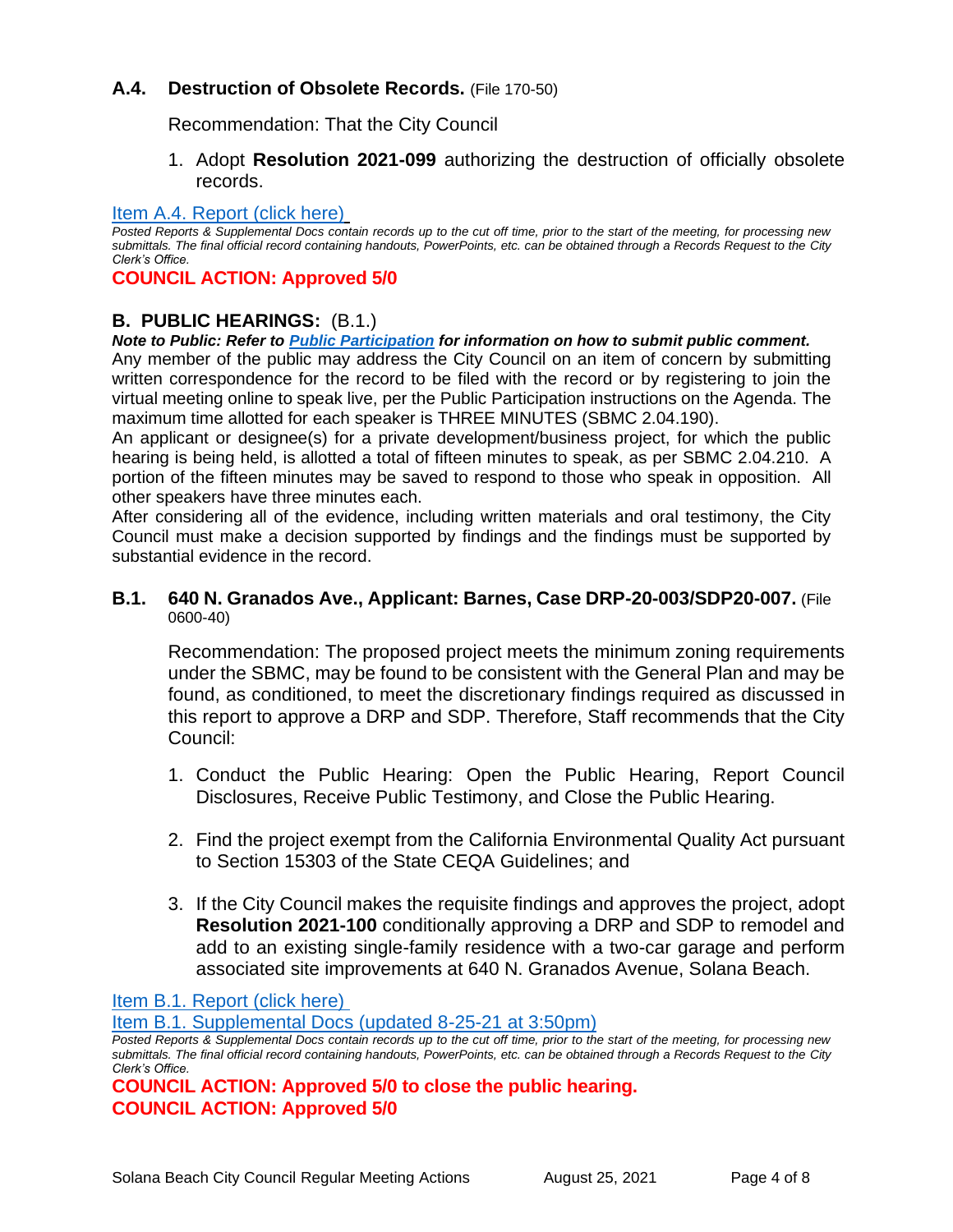# **A.4. Destruction of Obsolete Records.** (File 170-50)

Recommendation: That the City Council

1. Adopt **Resolution 2021-099** authorizing the destruction of officially obsolete records.

#### [Item A.4. Report \(click here\)](https://solanabeach.govoffice3.com/vertical/Sites/%7B840804C2-F869-4904-9AE3-720581350CE7%7D/uploads/Item_A.4._Report_(click_here)_08-25-21_O.pdf)

*Posted Reports & Supplemental Docs contain records up to the cut off time, prior to the start of the meeting, for processing new submittals. The final official record containing handouts, PowerPoints, etc. can be obtained through a Records Request to the City Clerk's Office.*

## **COUNCIL ACTION: Approved 5/0**

# **B. PUBLIC HEARINGS:** (B.1.)

#### *Note to Public: Refer to Public Participation for information on how to submit public comment.*

Any member of the public may address the City Council on an item of concern by submitting written correspondence for the record to be filed with the record or by registering to join the virtual meeting online to speak live, per the Public Participation instructions on the Agenda. The maximum time allotted for each speaker is THREE MINUTES (SBMC 2.04.190).

An applicant or designee(s) for a private development/business project, for which the public hearing is being held, is allotted a total of fifteen minutes to speak, as per SBMC 2.04.210. A portion of the fifteen minutes may be saved to respond to those who speak in opposition. All other speakers have three minutes each.

After considering all of the evidence, including written materials and oral testimony, the City Council must make a decision supported by findings and the findings must be supported by substantial evidence in the record.

#### **B.1. 640 N. Granados Ave., Applicant: Barnes, Case DRP-20-003/SDP20-007.** (File 0600-40)

Recommendation: The proposed project meets the minimum zoning requirements under the SBMC, may be found to be consistent with the General Plan and may be found, as conditioned, to meet the discretionary findings required as discussed in this report to approve a DRP and SDP. Therefore, Staff recommends that the City Council:

- 1. Conduct the Public Hearing: Open the Public Hearing, Report Council Disclosures, Receive Public Testimony, and Close the Public Hearing.
- 2. Find the project exempt from the California Environmental Quality Act pursuant to Section 15303 of the State CEQA Guidelines; and
- 3. If the City Council makes the requisite findings and approves the project, adopt **Resolution 2021-100** conditionally approving a DRP and SDP to remodel and add to an existing single-family residence with a two-car garage and perform associated site improvements at 640 N. Granados Avenue, Solana Beach.

[Item B.1. Report \(click here\)](https://solanabeach.govoffice3.com/vertical/Sites/%7B840804C2-F869-4904-9AE3-720581350CE7%7D/uploads/Item_B.1._Report_(click_here)_08-25-21_O.pdf)

[Item B.1. Supplemental Docs \(updated 8-25-21 at 3:50pm\)](https://solanabeach.govoffice3.com/vertical/Sites/%7B840804C2-F869-4904-9AE3-720581350CE7%7D/uploads/Item_B.1._Supplemental_Docs_(upd._8-25_340pm)_-_O.pdf)

*Posted Reports & Supplemental Docs contain records up to the cut off time, prior to the start of the meeting, for processing new submittals. The final official record containing handouts, PowerPoints, etc. can be obtained through a Records Request to the City Clerk's Office.*

**COUNCIL ACTION: Approved 5/0 to close the public hearing. COUNCIL ACTION: Approved 5/0**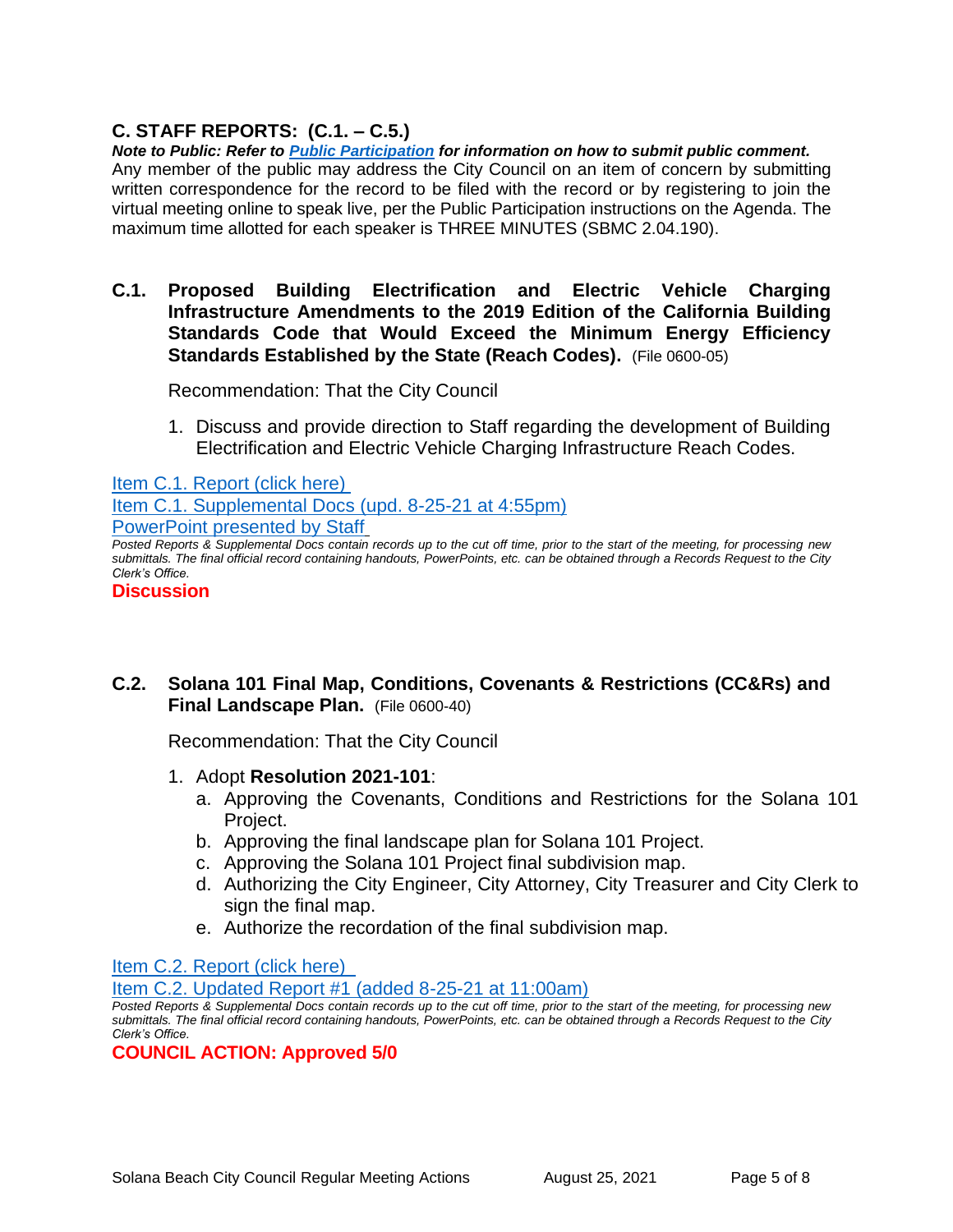# **C. STAFF REPORTS: (C.1. – C.5.)**

*Note to Public: Refer to Public Participation for information on how to submit public comment.*  Any member of the public may address the City Council on an item of concern by submitting written correspondence for the record to be filed with the record or by registering to join the virtual meeting online to speak live, per the Public Participation instructions on the Agenda. The maximum time allotted for each speaker is THREE MINUTES (SBMC 2.04.190).

**C.1. Proposed Building Electrification and Electric Vehicle Charging Infrastructure Amendments to the 2019 Edition of the California Building Standards Code that Would Exceed the Minimum Energy Efficiency Standards Established by the State (Reach Codes).** (File 0600-05)

Recommendation: That the City Council

1. Discuss and provide direction to Staff regarding the development of Building Electrification and Electric Vehicle Charging Infrastructure Reach Codes.

[Item C.1. Report \(click here\)](https://solanabeach.govoffice3.com/vertical/Sites/%7B840804C2-F869-4904-9AE3-720581350CE7%7D/uploads/Item_C.1._Report_(click_here)_08-25-21_O.pdf) 

Item C.1. [Supplemental Docs \(upd. 8-25-21](https://solanabeach.govoffice3.com/vertical/Sites/%7B840804C2-F869-4904-9AE3-720581350CE7%7D/uploads/Item_C.1._Supplemental_Docs_(upd_8-25_450pm)_-_O.pdf) at 4:55pm) [PowerPoint](https://solanabeach.govoffice3.com/vertical/Sites/%7B840804C2-F869-4904-9AE3-720581350CE7%7D/uploads/C.1._Powerpoint_presented_by_Staff.pdf) presented by Staff

*Posted Reports & Supplemental Docs contain records up to the cut off time, prior to the start of the meeting, for processing new submittals. The final official record containing handouts, PowerPoints, etc. can be obtained through a Records Request to the City Clerk's Office.*

#### **Discussion**

# **C.2. Solana 101 Final Map, Conditions, Covenants & Restrictions (CC&Rs) and Final Landscape Plan.** (File 0600-40)

Recommendation: That the City Council

- 1. Adopt **Resolution 2021-101**:
	- a. Approving the Covenants, Conditions and Restrictions for the Solana 101 Project.
	- b. Approving the final landscape plan for Solana 101 Project.
	- c. Approving the Solana 101 Project final subdivision map.
	- d. Authorizing the City Engineer, City Attorney, City Treasurer and City Clerk to sign the final map.
	- e. Authorize the recordation of the final subdivision map.

[Item C.2. Report](https://solanabeach.govoffice3.com/vertical/Sites/%7B840804C2-F869-4904-9AE3-720581350CE7%7D/uploads/Item_C.2._Report_(click_here)_08-25-21_O.pdf) (click here)

[Item C.2. Updated Report #1 \(added 8-25-21 at 11:00am\)](https://solanabeach.govoffice3.com/vertical/Sites/%7B840804C2-F869-4904-9AE3-720581350CE7%7D/uploads/Item_C.2._Updated_Report_1_(8-25_at_930am)_-_O.pdf)

*Posted Reports & Supplemental Docs contain records up to the cut off time, prior to the start of the meeting, for processing new submittals. The final official record containing handouts, PowerPoints, etc. can be obtained through a Records Request to the City Clerk's Office.*

#### **COUNCIL ACTION: Approved 5/0**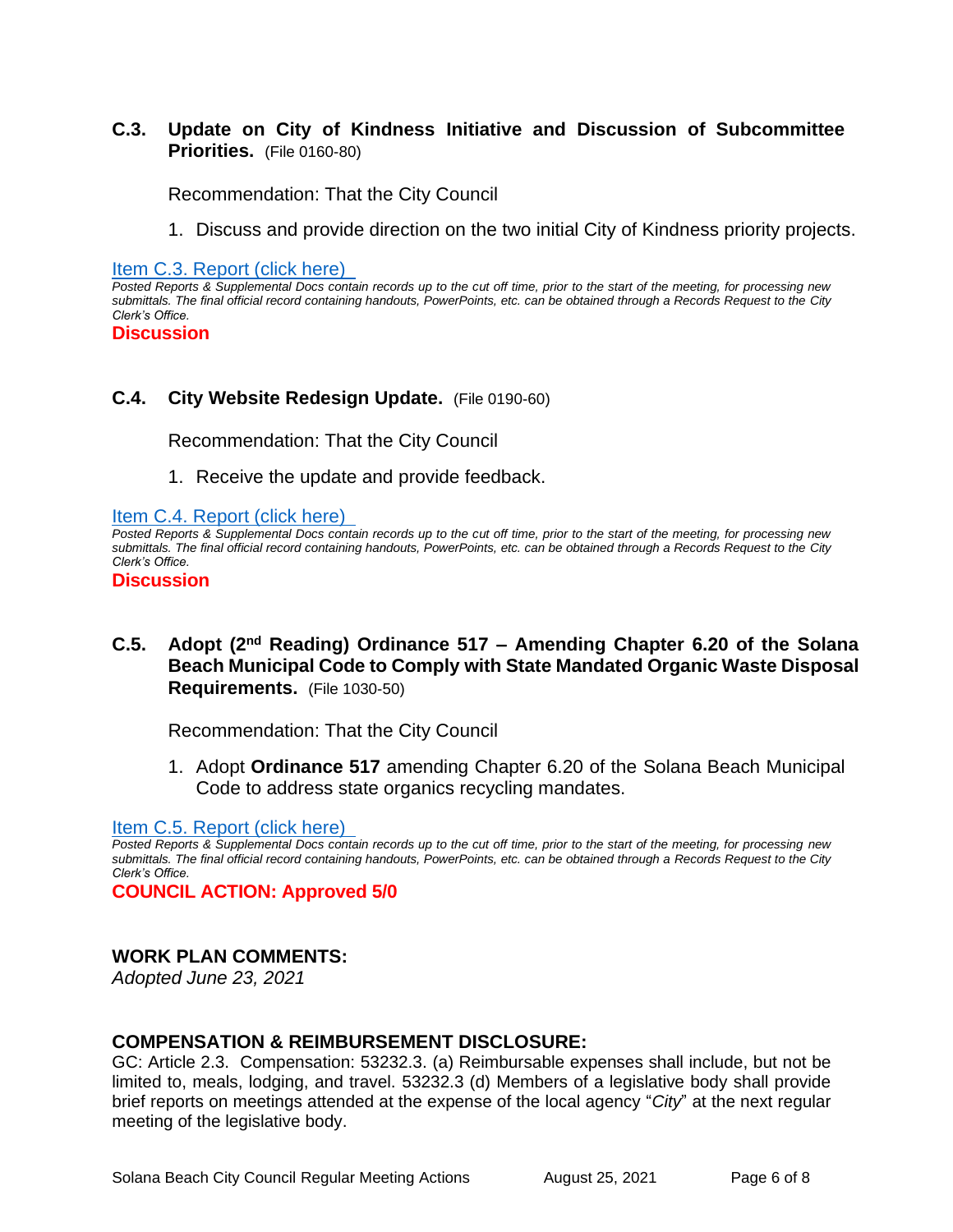# **C.3. Update on City of Kindness Initiative and Discussion of Subcommittee Priorities.** (File 0160-80)

Recommendation: That the City Council

1. Discuss and provide direction on the two initial City of Kindness priority projects.

[Item C.3. Report \(click here\)](https://solanabeach.govoffice3.com/vertical/Sites/%7B840804C2-F869-4904-9AE3-720581350CE7%7D/uploads/Item_C.3._Report_(click_here)_08-25-21_O.pdf) 

*Posted Reports & Supplemental Docs contain records up to the cut off time, prior to the start of the meeting, for processing new submittals. The final official record containing handouts, PowerPoints, etc. can be obtained through a Records Request to the City Clerk's Office.*

#### **Discussion**

#### **C.4. City Website Redesign Update.** (File 0190-60)

Recommendation: That the City Council

1. Receive the update and provide feedback.

[Item C.4. Report \(click here\)](https://solanabeach.govoffice3.com/vertical/Sites/%7B840804C2-F869-4904-9AE3-720581350CE7%7D/uploads/Item_C.4._Report_(click_here)_08-25-21_O.pdf) 

*Posted Reports & Supplemental Docs contain records up to the cut off time, prior to the start of the meeting, for processing new submittals. The final official record containing handouts, PowerPoints, etc. can be obtained through a Records Request to the City Clerk's Office.*

**Discussion** 

**C.5. Adopt (2nd Reading) Ordinance 517 – Amending Chapter 6.20 of the Solana Beach Municipal Code to Comply with State Mandated Organic Waste Disposal Requirements.** (File 1030-50)

Recommendation: That the City Council

1. Adopt **Ordinance 517** amending Chapter 6.20 of the Solana Beach Municipal Code to address state organics recycling mandates.

#### [Item C.5. Report \(click here\)](https://solanabeach.govoffice3.com/vertical/Sites/%7B840804C2-F869-4904-9AE3-720581350CE7%7D/uploads/Item_C.5._Report_(click_here)_08-25-21_O.pdf)

*Posted Reports & Supplemental Docs contain records up to the cut off time, prior to the start of the meeting, for processing new submittals. The final official record containing handouts, PowerPoints, etc. can be obtained through a Records Request to the City Clerk's Office.*

**COUNCIL ACTION: Approved 5/0**

#### **WORK PLAN COMMENTS:**

*Adopted June 23, 2021*

#### **COMPENSATION & REIMBURSEMENT DISCLOSURE:**

GC: Article 2.3. Compensation: 53232.3. (a) Reimbursable expenses shall include, but not be limited to, meals, lodging, and travel. 53232.3 (d) Members of a legislative body shall provide brief reports on meetings attended at the expense of the local agency "*City*" at the next regular meeting of the legislative body.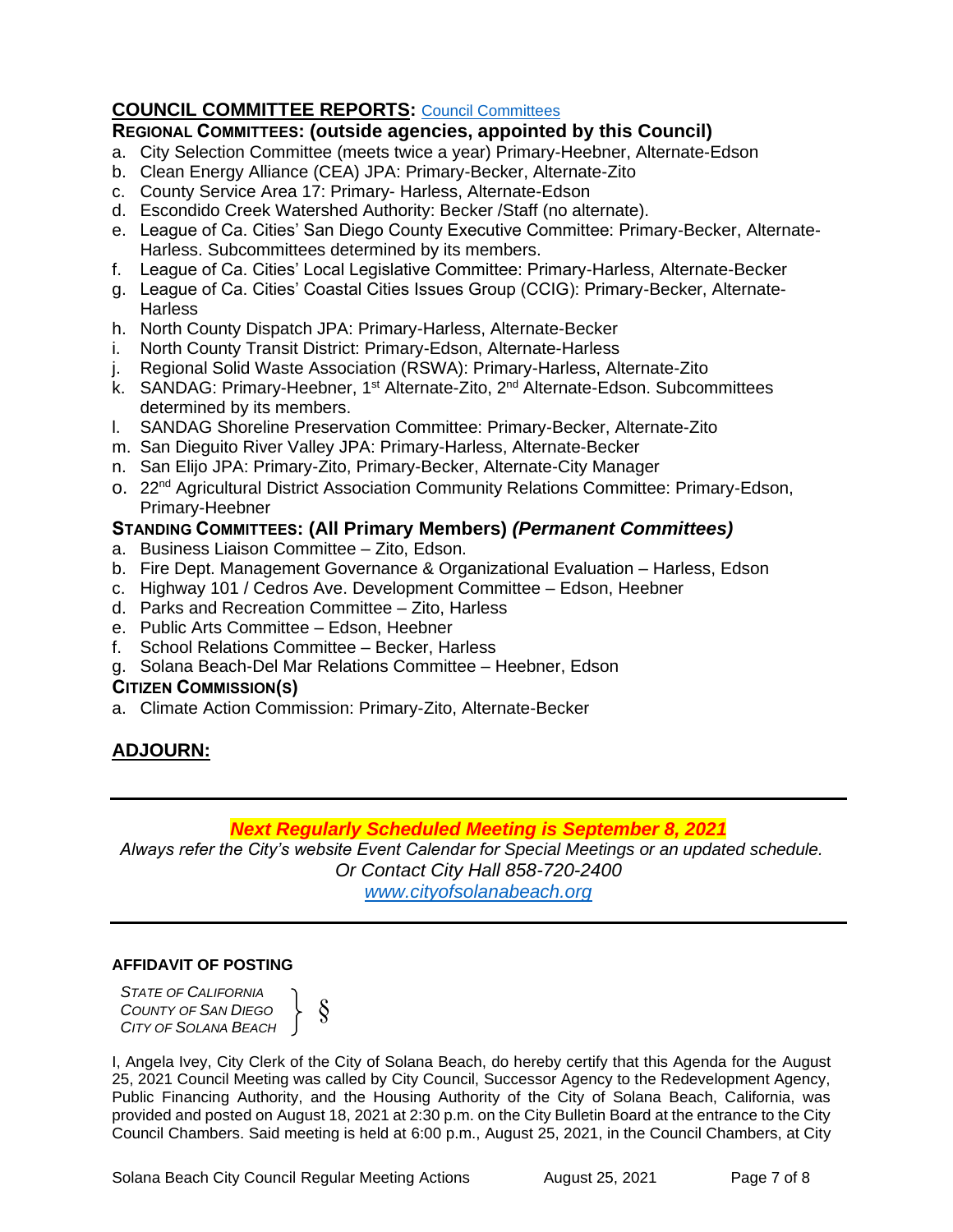# **COUNCIL COMMITTEE REPORTS:** [Council Committees](https://www.ci.solana-beach.ca.us/index.asp?SEC=584E1192-3850-46EA-B977-088AC3E81E0D&Type=B_BASIC)

# **REGIONAL COMMITTEES: (outside agencies, appointed by this Council)**

- a. City Selection Committee (meets twice a year) Primary-Heebner, Alternate-Edson
- b. Clean Energy Alliance (CEA) JPA: Primary-Becker, Alternate-Zito
- c. County Service Area 17: Primary- Harless, Alternate-Edson
- d. Escondido Creek Watershed Authority: Becker /Staff (no alternate).
- e. League of Ca. Cities' San Diego County Executive Committee: Primary-Becker, Alternate-Harless. Subcommittees determined by its members.
- f. League of Ca. Cities' Local Legislative Committee: Primary-Harless, Alternate-Becker
- g. League of Ca. Cities' Coastal Cities Issues Group (CCIG): Primary-Becker, Alternate-**Harless**
- h. North County Dispatch JPA: Primary-Harless, Alternate-Becker
- i. North County Transit District: Primary-Edson, Alternate-Harless
- j. Regional Solid Waste Association (RSWA): Primary-Harless, Alternate-Zito
- k. SANDAG: Primary-Heebner, 1<sup>st</sup> Alternate-Zito, 2<sup>nd</sup> Alternate-Edson. Subcommittees determined by its members.
- l. SANDAG Shoreline Preservation Committee: Primary-Becker, Alternate-Zito
- m. San Dieguito River Valley JPA: Primary-Harless, Alternate-Becker
- n. San Elijo JPA: Primary-Zito, Primary-Becker, Alternate-City Manager
- o. 22<sup>nd</sup> Agricultural District Association Community Relations Committee: Primary-Edson, Primary-Heebner

# **STANDING COMMITTEES: (All Primary Members)** *(Permanent Committees)*

- a. Business Liaison Committee Zito, Edson.
- b. Fire Dept. Management Governance & Organizational Evaluation Harless, Edson
- c. Highway 101 / Cedros Ave. Development Committee Edson, Heebner
- d. Parks and Recreation Committee Zito, Harless
- e. Public Arts Committee Edson, Heebner
- f. School Relations Committee Becker, Harless
- g. Solana Beach-Del Mar Relations Committee Heebner, Edson

# **CITIZEN COMMISSION(S)**

a. Climate Action Commission: Primary-Zito, Alternate-Becker

# **ADJOURN:**

# *Next Regularly Scheduled Meeting is September 8, 2021*

*Always refer the City's website Event Calendar for Special Meetings or an updated schedule. Or Contact City Hall 858-720-2400 [www.cityofsolanabeach.org](http://www.cityofsolanabeach.org/)* 

#### **AFFIDAVIT OF POSTING**

*STATE OF CALIFORNIA COUNTY OF SAN DIEGO CITY OF SOLANA BEACH* §  $\left\{\begin{array}{c} \xi \end{array}\right\}$ 

I, Angela Ivey, City Clerk of the City of Solana Beach, do hereby certify that this Agenda for the August 25, 2021 Council Meeting was called by City Council, Successor Agency to the Redevelopment Agency, Public Financing Authority, and the Housing Authority of the City of Solana Beach, California, was provided and posted on August 18, 2021 at 2:30 p.m. on the City Bulletin Board at the entrance to the City Council Chambers. Said meeting is held at 6:00 p.m., August 25, 2021, in the Council Chambers, at City